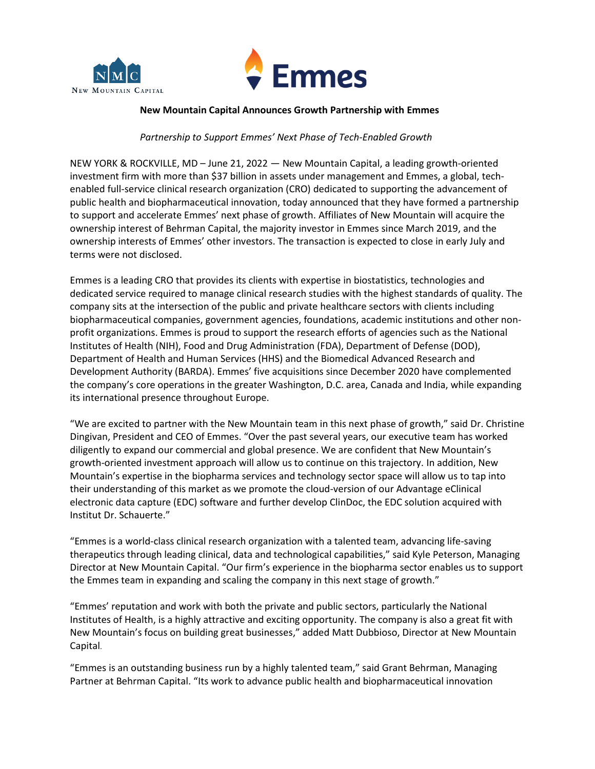



### **New Mountain Capital Announces Growth Partnership with Emmes**

# *Partnership to Support Emmes' Next Phase of Tech-Enabled Growth*

NEW YORK & ROCKVILLE, MD – June 21, 2022 — New Mountain Capital, a leading growth-oriented investment firm with more than \$37 billion in assets under management and Emmes, a global, techenabled full-service clinical research organization (CRO) dedicated to supporting the advancement of public health and biopharmaceutical innovation, today announced that they have formed a partnership to support and accelerate Emmes' next phase of growth. Affiliates of New Mountain will acquire the ownership interest of Behrman Capital, the majority investor in Emmes since March 2019, and the ownership interests of Emmes' other investors. The transaction is expected to close in early July and terms were not disclosed.

Emmes is a leading CRO that provides its clients with expertise in biostatistics, technologies and dedicated service required to manage clinical research studies with the highest standards of quality. The company sits at the intersection of the public and private healthcare sectors with clients including biopharmaceutical companies, government agencies, foundations, academic institutions and other nonprofit organizations. Emmes is proud to support the research efforts of agencies such as the National Institutes of Health (NIH), Food and Drug Administration (FDA), Department of Defense (DOD), Department of Health and Human Services (HHS) and the Biomedical Advanced Research and Development Authority (BARDA). Emmes' five acquisitions since December 2020 have complemented the company's core operations in the greater Washington, D.C. area, Canada and India, while expanding its international presence throughout Europe.

"We are excited to partner with the New Mountain team in this next phase of growth," said Dr. Christine Dingivan, President and CEO of Emmes. "Over the past several years, our executive team has worked diligently to expand our commercial and global presence. We are confident that New Mountain's growth-oriented investment approach will allow us to continue on this trajectory. In addition, New Mountain's expertise in the biopharma services and technology sector space will allow us to tap into their understanding of this market as we promote the cloud-version of our Advantage eClinical electronic data capture (EDC) software and further develop ClinDoc, the EDC solution acquired with Institut Dr. Schauerte."

"Emmes is a world-class clinical research organization with a talented team, advancing life-saving therapeutics through leading clinical, data and technological capabilities," said Kyle Peterson, Managing Director at New Mountain Capital. "Our firm's experience in the biopharma sector enables us to support the Emmes team in expanding and scaling the company in this next stage of growth."

"Emmes' reputation and work with both the private and public sectors, particularly the National Institutes of Health, is a highly attractive and exciting opportunity. The company is also a great fit with New Mountain's focus on building great businesses," added Matt Dubbioso, Director at New Mountain Capital.

"Emmes is an outstanding business run by a highly talented team," said Grant Behrman, Managing Partner at Behrman Capital. "Its work to advance public health and biopharmaceutical innovation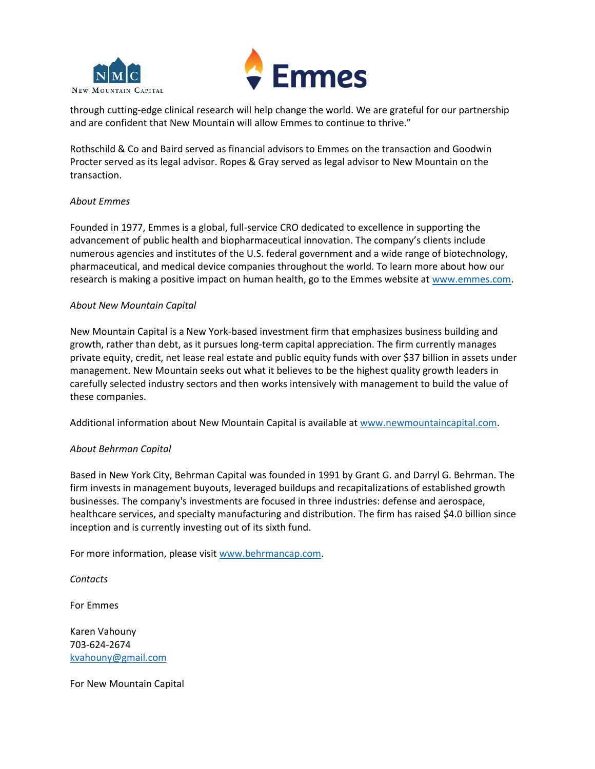



through cutting-edge clinical research will help change the world. We are grateful for our partnership and are confident that New Mountain will allow Emmes to continue to thrive."

Rothschild & Co and Baird served as financial advisors to Emmes on the transaction and Goodwin Procter served as its legal advisor. Ropes & Gray served as legal advisor to New Mountain on the transaction.

## *About Emmes*

Founded in 1977, Emmes is a global, full-service CRO dedicated to excellence in supporting the advancement of public health and biopharmaceutical innovation. The company's clients include numerous agencies and institutes of the U.S. federal government and a wide range of biotechnology, pharmaceutical, and medical device companies throughout the world. To learn more about how our research is making a positive impact on human health, go to the Emmes website a[t www.emmes.com.](http://www.emmes.com/)

## *About New Mountain Capital*

New Mountain Capital is a New York-based investment firm that emphasizes business building and growth, rather than debt, as it pursues long-term capital appreciation. The firm currently manages private equity, credit, net lease real estate and public equity funds with over \$37 billion in assets under management. New Mountain seeks out what it believes to be the highest quality growth leaders in carefully selected industry sectors and then works intensively with management to build the value of these companies.

Additional information about New Mountain Capital is available at [www.newmountaincapital.com.](http://www.newmountaincapital.com/)

## *About Behrman Capital*

Based in New York City, Behrman Capital was founded in 1991 by Grant G. and Darryl G. Behrman. The firm invests in management buyouts, leveraged buildups and recapitalizations of established growth businesses. The company's investments are focused in three industries: defense and aerospace, healthcare services, and specialty manufacturing and distribution. The firm has raised \$4.0 billion since inception and is currently investing out of its sixth fund.

For more information, please visit [www.behrmancap.com.](file:///C:/Users/nsharpe/AppData/Local/Microsoft/Windows/INetCache/Content.Outlook/JYOYF5DM/www.behrmancap.com)

*Contacts*

For Emmes

Karen Vahouny 703-624-2674 [kvahouny@gmail.com](mailto:kvahouny@gmail.com)

For New Mountain Capital